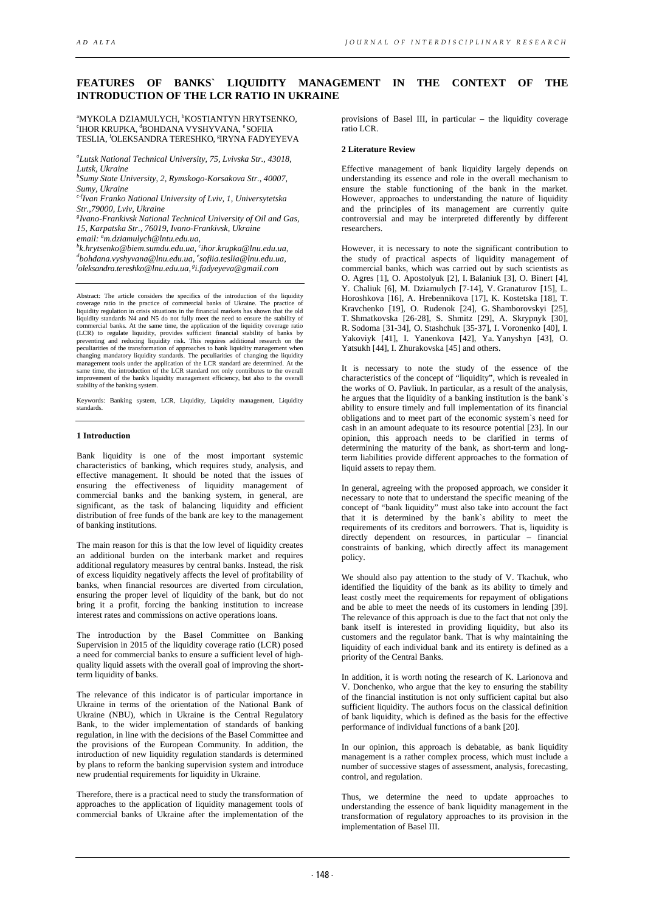# **FEATURES OF BANKS` LIQUIDITY MANAGEMENT IN THE CONTEXT OF THE INTRODUCTION OF THE LCR RATIO IN UKRAINE**

<sup>a</sup>MYKOLA DZIAMULYCH, <sup>b</sup>KOSTIANTYN HRYTSENKO,<br><sup>ci</sup>hod kdi idka <sup>4</sup>bohdana vyshvyana °soeita IHOR KRUPKA, <sup>d</sup>BOHDANA VYSHYVANA, <sup>e</sup> SOFIIA TESLIA, <sup>f</sup>OLEKSANDRA TERESHKO, <sup>§</sup>IRYNA FADYEYEVA

*a Lutsk National Technical University, 75, Lvivska Str., 43018, Lutsk, Ukraine*

*b Sumy State University, 2, Rymskogo-Korsakova Str., 40007, Sumy, Ukraine* 

*c-fIvan Franko National University of Lviv, 1, Universytetska Str.,79000, Lviv, Ukraine*

*g Ivano-Frankivsk National Technical University of Oil and Gas, 15, Karpatska Str., 76019, Ivano-Frankivsk, Ukraine* 

email: <sup>a</sup>m.dziamulych@lntu.edu.ua,<br><sup>b</sup>k hrytsenko@biem sumdu.edu.ua, <sup>s</sup>i

<sup>b</sup>k.hrytsenko@biem.sumdu.edu.ua, <sup>c</sup>ihor.krupka@lnu.edu.ua,<br><sup>d</sup>hokdana.wshwana@lnu.edu.ua, <sup>e</sup>sofiia.teslia@lnu.edu.ua <sup>d</sup>bohdana.vyshyvana@lnu.edu.ua, <sup>e</sup>sofiia.teslia@lnu.edu.ua,<br><sup>f</sup>oleksandra tarashka@lnu.edu.ua, <sup>§</sup>i fodumeya@amail.com *oleksandra.tereshko@lnu.edu.ua, gi.fadyeyeva@gmail.com* 

Abstract: The article considers the specifics of the introduction of the liquidity coverage ratio in the practice of commercial banks of Ukraine. The practice of liquidity regulation in crisis situations in the financial markets has shown that the old liquidity standards N4 and N5 do not fully meet the need to ensure the stability of commercial banks. At the same time, the application of the liquidity coverage ratio (LCR) to regulate liquidity, provides sufficient financial stability of banks by preventing and reducing liquidity risk. This requires additional research on the peculiarities of the transformation of approaches to bank liquidity management when<br>changing mandatory liquidity standards. The peculiarities of changing the liquidity<br>management tools under the application of the LCR stan stability of the banking system.

Keywords: Banking system, LCR, Liquidity, Liquidity management, Liquidity standards.

#### **1 Introduction**

Bank liquidity is one of the most important systemic characteristics of banking, which requires study, analysis, and effective management. It should be noted that the issues of ensuring the effectiveness of liquidity management of commercial banks and the banking system, in general, are significant, as the task of balancing liquidity and efficient distribution of free funds of the bank are key to the management of banking institutions.

The main reason for this is that the low level of liquidity creates an additional burden on the interbank market and requires additional regulatory measures by central banks. Instead, the risk of excess liquidity negatively affects the level of profitability of banks, when financial resources are diverted from circulation, ensuring the proper level of liquidity of the bank, but do not bring it a profit, forcing the banking institution to increase interest rates and commissions on active operations loans.

The introduction by the Basel Committee on Banking Supervision in 2015 of the liquidity coverage ratio (LCR) posed a need for commercial banks to ensure a sufficient level of highquality liquid assets with the overall goal of improving the shortterm liquidity of banks.

The relevance of this indicator is of particular importance in Ukraine in terms of the orientation of the National Bank of Ukraine (NBU), which in Ukraine is the Central Regulatory Bank, to the wider implementation of standards of banking regulation, in line with the decisions of the Basel Committee and the provisions of the European Community. In addition, the introduction of new liquidity regulation standards is determined by plans to reform the banking supervision system and introduce new prudential requirements for liquidity in Ukraine.

Therefore, there is a practical need to study the transformation of approaches to the application of liquidity management tools of commercial banks of Ukraine after the implementation of the

provisions of Basel III, in particular – the liquidity coverage ratio LCR.

## **2 Literature Review**

Effective management of bank liquidity largely depends on understanding its essence and role in the overall mechanism to ensure the stable functioning of the bank in the market. However, approaches to understanding the nature of liquidity and the principles of its management are currently quite controversial and may be interpreted differently by different researchers.

However, it is necessary to note the significant contribution to the study of practical aspects of liquidity management of commercial banks, which was carried out by such scientists as O. Agres [1], O. Apostolyuk [2], I. Balaniuk [3], O. Binert [4], Y. Chaliuk [6], M. Dziamulych [7-14], V. Granaturov [15], L. Horoshkova [16], A. Hrebennikova [17], K. Kostetska [18], T. Kravchenko [19], O. Rudenok [24], G. Shamborovskyi [25], T. Shmatkovska [26-28], S. Shmitz [29], A. Skrypnyk [30], R. Sodoma [31-34], O. Stashchuk [35-37], I. Voronenko [40], І. Yakoviyk [41], I. Yanenkova [42], Ya. Yanyshyn [43], O. Yatsukh [44], I. Zhurakovska [45] and others.

It is necessary to note the study of the essence of the characteristics of the concept of "liquidity", which is revealed in the works of O. Pavliuk. In particular, as a result of the analysis, he argues that the liquidity of a banking institution is the bank`s ability to ensure timely and full implementation of its financial obligations and to meet part of the economic system`s need for cash in an amount adequate to its resource potential [23]. In our opinion, this approach needs to be clarified in terms of determining the maturity of the bank, as short-term and longterm liabilities provide different approaches to the formation of liquid assets to repay them.

In general, agreeing with the proposed approach, we consider it necessary to note that to understand the specific meaning of the concept of "bank liquidity" must also take into account the fact that it is determined by the bank`s ability to meet the requirements of its creditors and borrowers. That is, liquidity is directly dependent on resources, in particular – financial constraints of banking, which directly affect its management policy.

We should also pay attention to the study of V. Tkachuk, who identified the liquidity of the bank as its ability to timely and least costly meet the requirements for repayment of obligations and be able to meet the needs of its customers in lending [39]. The relevance of this approach is due to the fact that not only the bank itself is interested in providing liquidity, but also its customers and the regulator bank. That is why maintaining the liquidity of each individual bank and its entirety is defined as a priority of the Central Banks.

In addition, it is worth noting the research of K. Larionova and V. Donchenko, who argue that the key to ensuring the stability of the financial institution is not only sufficient capital but also sufficient liquidity. The authors focus on the classical definition of bank liquidity, which is defined as the basis for the effective performance of individual functions of a bank [20].

In our opinion, this approach is debatable, as bank liquidity management is a rather complex process, which must include a number of successive stages of assessment, analysis, forecasting, control, and regulation.

Thus, we determine the need to update approaches to understanding the essence of bank liquidity management in the transformation of regulatory approaches to its provision in the implementation of Basel III.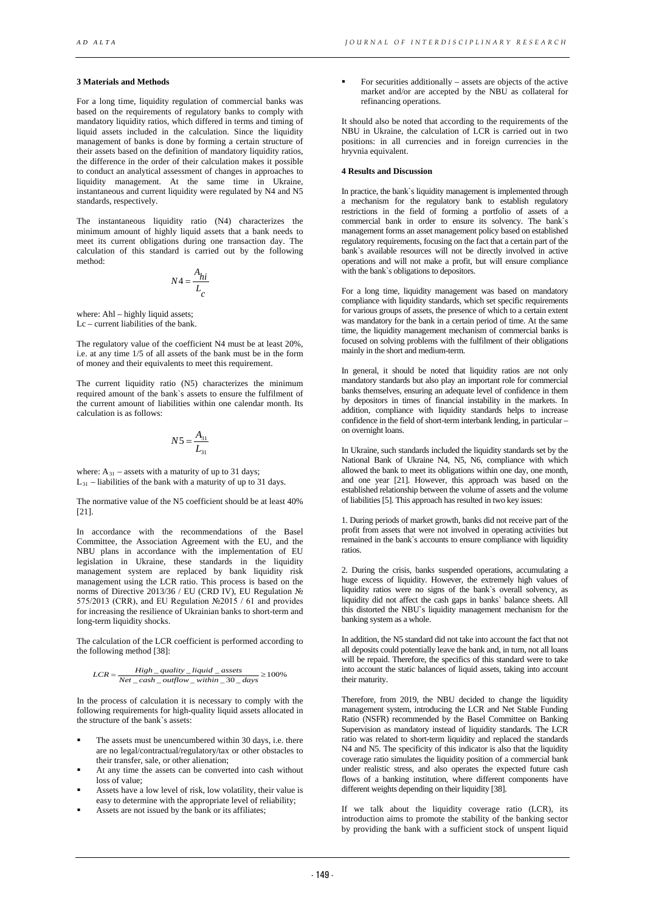## **3 Materials and Methods**

For a long time, liquidity regulation of commercial banks was based on the requirements of regulatory banks to comply with mandatory liquidity ratios, which differed in terms and timing of liquid assets included in the calculation. Since the liquidity management of banks is done by forming a certain structure of their assets based on the definition of mandatory liquidity ratios, the difference in the order of their calculation makes it possible to conduct an analytical assessment of changes in approaches to liquidity management. At the same time in Ukraine, instantaneous and current liquidity were regulated by N4 and N5 standards, respectively.

The instantaneous liquidity ratio (N4) characterizes the minimum amount of highly liquid assets that a bank needs to meet its current obligations during one transaction day. The calculation of this standard is carried out by the following method:

$$
N4 = \frac{A_{hi}}{L_c}
$$

where: Ahl – highly liquid assets;  $Lc$  – current liabilities of the bank.

The regulatory value of the coefficient N4 must be at least 20%, i.e. at any time 1/5 of all assets of the bank must be in the form of money and their equivalents to meet this requirement.

The current liquidity ratio (N5) characterizes the minimum required amount of the bank`s assets to ensure the fulfilment of the current amount of liabilities within one calendar month. Its calculation is as follows:

$$
N5 = \frac{A_{31}}{L_{31}}
$$

where:  $A_{31}$  – assets with a maturity of up to 31 days; L 31 – liabilities of the bank with a maturity of up to 31 days.

The normative value of the N5 coefficient should be at least 40% [21].

In accordance with the recommendations of the Basel Committee, the Association Agreement with the EU, and the NBU plans in accordance with the implementation of EU legislation in Ukraine, these standards in the liquidity management system are replaced by bank liquidity risk management using the LCR ratio. This process is based on the norms of Directive 2013/36 / EU (CRD IV), EU Regulation № 575/2013 (CRR), and EU Regulation №2015 / 61 and provides for increasing the resilience of Ukrainian banks to short-term and long-term liquidity shocks.

The calculation of the LCR coefficient is performed according to the following method [38]:

$$
LCR = \frac{High\_quality\_liquid\_assets}{Net\_cash\_outflow\_within\_30\_days} \ge 100\%
$$

In the process of calculation it is necessary to comply with the following requirements for high-quality liquid assets allocated in the structure of the bank`s assets:

- The assets must be unencumbered within 30 days, i.e. there are no legal/contractual/regulatory/tax or other obstacles to their transfer, sale, or other alienation;
- At any time the assets can be converted into cash without loss of value;
- Assets have a low level of risk, low volatility, their value is easy to determine with the appropriate level of reliability;
- Assets are not issued by the bank or its affiliates;

 $\blacksquare$  For securities additionally – assets are objects of the active market and/or are accepted by the NBU as collateral for refinancing operations.

It should also be noted that according to the requirements of the NBU in Ukraine, the calculation of LCR is carried out in two positions: in all currencies and in foreign currencies in the hryvnia equivalent.

## **4 Results and Discussion**

In practice, the bank`s liquidity management is implemented through a mechanism for the regulatory bank to establish regulatory restrictions in the field of forming a portfolio of assets of a commercial bank in order to ensure its solvency. The bank`s management forms an asset management policy based on established regulatory requirements, focusing on the fact that a certain part of the bank`s available resources will not be directly involved in active operations and will not make a profit, but will ensure compliance with the bank`s obligations to depositors.

For a long time, liquidity management was based on mandatory compliance with liquidity standards, which set specific requirements for various groups of assets, the presence of which to a certain extent was mandatory for the bank in a certain period of time. At the same time, the liquidity management mechanism of commercial banks is focused on solving problems with the fulfilment of their obligations mainly in the short and medium-term.

In general, it should be noted that liquidity ratios are not only mandatory standards but also play an important role for commercial banks themselves, ensuring an adequate level of confidence in them by depositors in times of financial instability in the markets. In addition, compliance with liquidity standards helps to increase confidence in the field of short-term interbank lending, in particular – on overnight loans.

In Ukraine, such standards included the liquidity standards set by the National Bank of Ukraine N4, N5, N6, compliance with which allowed the bank to meet its obligations within one day, one month, and one year [21]. However, this approach was based on the established relationship between the volume of assets and the volume of liabilities [5]. This approach has resulted in two key issues:

1. During periods of market growth, banks did not receive part of the profit from assets that were not involved in operating activities but remained in the bank`s accounts to ensure compliance with liquidity ratios.

2. During the crisis, banks suspended operations, accumulating a huge excess of liquidity. However, the extremely high values of liquidity ratios were no signs of the bank`s overall solvency, as liquidity did not affect the cash gaps in banks` balance sheets. All this distorted the NBU`s liquidity management mechanism for the banking system as a whole.

In addition, the N5 standard did not take into account the fact that not all deposits could potentially leave the bank and, in turn, not all loans will be repaid. Therefore, the specifics of this standard were to take into account the static balances of liquid assets, taking into account their maturity.

Therefore, from 2019, the NBU decided to change the liquidity management system, introducing the LCR and Net Stable Funding Ratio (NSFR) recommended by the Basel Committee on Banking Supervision as mandatory instead of liquidity standards. The LCR ratio was related to short-term liquidity and replaced the standards N4 and N5. The specificity of this indicator is also that the liquidity coverage ratio simulates the liquidity position of a commercial bank under realistic stress, and also operates the expected future cash flows of a banking institution, where different components have different weights depending on their liquidity [38].

If we talk about the liquidity coverage ratio (LCR), its introduction aims to promote the stability of the banking sector by providing the bank with a sufficient stock of unspent liquid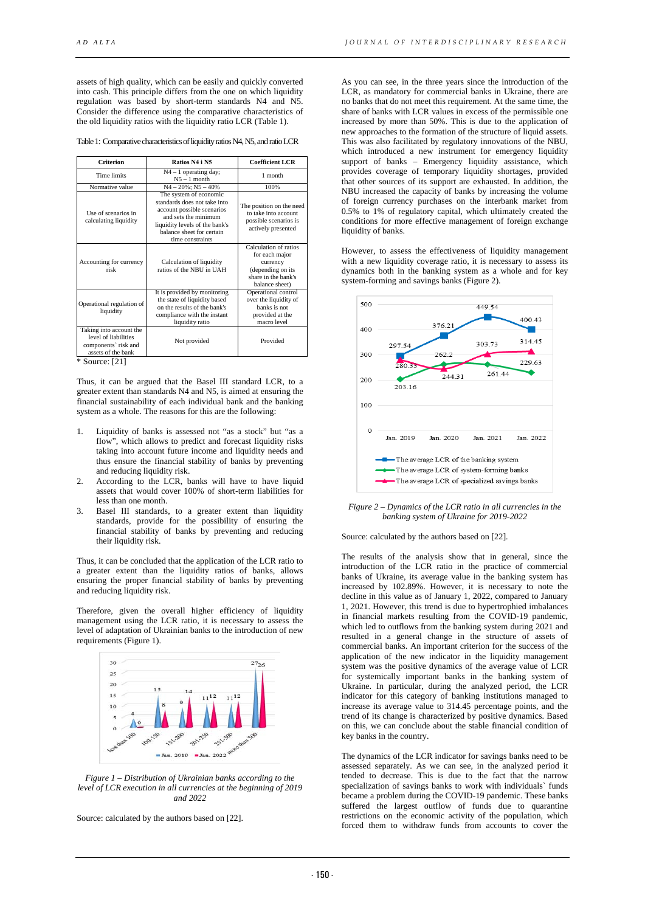assets of high quality, which can be easily and quickly converted into cash. This principle differs from the one on which liquidity regulation was based by short-term standards N4 and N5. Consider the difference using the comparative characteristics of the old liquidity ratios with the liquidity ratio LCR (Table 1).

Table 1: Comparative characteristics of liquidity ratios N4, N5, and ratio LCR

| <b>Criterion</b>                                                                              | Ratios N4 i N5                                                                                                                                                                                  | <b>Coefficient LCR</b>                                                                                            |
|-----------------------------------------------------------------------------------------------|-------------------------------------------------------------------------------------------------------------------------------------------------------------------------------------------------|-------------------------------------------------------------------------------------------------------------------|
| <b>Time limits</b>                                                                            | $N4 - 1$ operating day;<br>$N5 - 1$ month                                                                                                                                                       | 1 month                                                                                                           |
| Normative value                                                                               | $N4 - 20\%$ ; $N5 - 40\%$                                                                                                                                                                       | 100%                                                                                                              |
| Use of scenarios in<br>calculating liquidity                                                  | The system of economic<br>standards does not take into<br>account possible scenarios<br>and sets the minimum<br>liquidity levels of the bank's<br>balance sheet for certain<br>time constraints | The position on the need<br>to take into account<br>possible scenarios is<br>actively presented                   |
| Accounting for currency<br>risk                                                               | Calculation of liquidity<br>ratios of the NBU in UAH                                                                                                                                            | Calculation of ratios<br>for each major<br>currency<br>(depending on its<br>share in the bank's<br>balance sheet) |
| Operational regulation of<br>liquidity                                                        | It is provided by monitoring<br>the state of liquidity based<br>on the results of the bank's<br>compliance with the instant<br>liquidity ratio                                                  | Operational control<br>over the liquidity of<br>banks is not<br>provided at the<br>macro level                    |
| Taking into account the<br>level of liabilities<br>components' risk and<br>assets of the bank | Not provided                                                                                                                                                                                    | Provided                                                                                                          |

\* Source: [21]

Thus, it can be argued that the Basel III standard LCR, to a greater extent than standards N4 and N5, is aimed at ensuring the financial sustainability of each individual bank and the banking system as a whole. The reasons for this are the following:

- 1. Liquidity of banks is assessed not "as a stock" but "as a flow", which allows to predict and forecast liquidity risks taking into account future income and liquidity needs and thus ensure the financial stability of banks by preventing and reducing liquidity risk.
- 2. According to the LCR, banks will have to have liquid assets that would cover 100% of short-term liabilities for less than one month.
- 3. Basel III standards, to a greater extent than liquidity standards, provide for the possibility of ensuring the financial stability of banks by preventing and reducing their liquidity risk.

Thus, it can be concluded that the application of the LCR ratio to a greater extent than the liquidity ratios of banks, allows ensuring the proper financial stability of banks by preventing and reducing liquidity risk.

Therefore, given the overall higher efficiency of liquidity management using the LCR ratio, it is necessary to assess the level of adaptation of Ukrainian banks to the introduction of new requirements (Figure 1).



*Figure 1 – Distribution of Ukrainian banks according to the level of LCR execution in all currencies at the beginning of 2019 and 2022*

Source: calculated by the authors based on [22].

As you can see, in the three years since the introduction of the LCR, as mandatory for commercial banks in Ukraine, there are no banks that do not meet this requirement. At the same time, the share of banks with LCR values in excess of the permissible one increased by more than 50%. This is due to the application of new approaches to the formation of the structure of liquid assets. This was also facilitated by regulatory innovations of the NBU, which introduced a new instrument for emergency liquidity support of banks – Emergency liquidity assistance, which provides coverage of temporary liquidity shortages, provided that other sources of its support are exhausted. In addition, the NBU increased the capacity of banks by increasing the volume of foreign currency purchases on the interbank market from 0.5% to 1% of regulatory capital, which ultimately created the conditions for more effective management of foreign exchange liquidity of banks.

However, to assess the effectiveness of liquidity management with a new liquidity coverage ratio, it is necessary to assess its dynamics both in the banking system as a whole and for key system-forming and savings banks (Figure 2).



*Figure 2 – Dynamics of the LCR ratio in all currencies in the banking system of Ukraine for 2019-2022*

Source: calculated by the authors based on [22].

The results of the analysis show that in general, since the introduction of the LCR ratio in the practice of commercial banks of Ukraine, its average value in the banking system has increased by 102.89%. However, it is necessary to note the decline in this value as of January 1, 2022, compared to January 1, 2021. However, this trend is due to hypertrophied imbalances in financial markets resulting from the COVID-19 pandemic, which led to outflows from the banking system during 2021 and resulted in a general change in the structure of assets of commercial banks. An important criterion for the success of the application of the new indicator in the liquidity management system was the positive dynamics of the average value of LCR for systemically important banks in the banking system of Ukraine. In particular, during the analyzed period, the LCR indicator for this category of banking institutions managed to increase its average value to 314.45 percentage points, and the trend of its change is characterized by positive dynamics. Based on this, we can conclude about the stable financial condition of key banks in the country.

The dynamics of the LCR indicator for savings banks need to be assessed separately. As we can see, in the analyzed period it tended to decrease. This is due to the fact that the narrow specialization of savings banks to work with individuals` funds became a problem during the COVID-19 pandemic. These banks suffered the largest outflow of funds due to quarantine restrictions on the economic activity of the population, which forced them to withdraw funds from accounts to cover the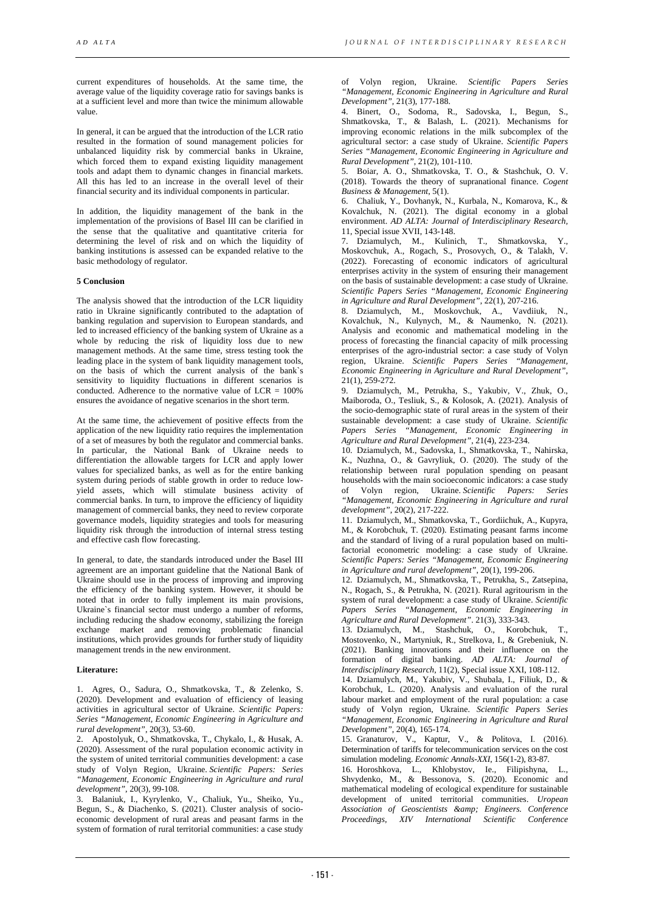current expenditures of households. At the same time, the average value of the liquidity coverage ratio for savings banks is at a sufficient level and more than twice the minimum allowable value.

In general, it can be argued that the introduction of the LCR ratio resulted in the formation of sound management policies for unbalanced liquidity risk by commercial banks in Ukraine, which forced them to expand existing liquidity management tools and adapt them to dynamic changes in financial markets. All this has led to an increase in the overall level of their financial security and its individual components in particular.

In addition, the liquidity management of the bank in the implementation of the provisions of Basel III can be clarified in the sense that the qualitative and quantitative criteria for determining the level of risk and on which the liquidity of banking institutions is assessed can be expanded relative to the basic methodology of regulator.

## **5 Conclusion**

The analysis showed that the introduction of the LCR liquidity ratio in Ukraine significantly contributed to the adaptation of banking regulation and supervision to European standards, and led to increased efficiency of the banking system of Ukraine as a whole by reducing the risk of liquidity loss due to new management methods. At the same time, stress testing took the leading place in the system of bank liquidity management tools, on the basis of which the current analysis of the bank`s sensitivity to liquidity fluctuations in different scenarios is conducted. Adherence to the normative value of LCR = 100% ensures the avoidance of negative scenarios in the short term.

At the same time, the achievement of positive effects from the application of the new liquidity ratio requires the implementation of a set of measures by both the regulator and commercial banks. In particular, the National Bank of Ukraine needs to differentiation the allowable targets for LCR and apply lower values for specialized banks, as well as for the entire banking system during periods of stable growth in order to reduce lowyield assets, which will stimulate business activity of commercial banks. In turn, to improve the efficiency of liquidity management of commercial banks, they need to review corporate governance models, liquidity strategies and tools for measuring liquidity risk through the introduction of internal stress testing and effective cash flow forecasting.

In general, to date, the standards introduced under the Basel III agreement are an important guideline that the National Bank of Ukraine should use in the process of improving and improving the efficiency of the banking system. However, it should be noted that in order to fully implement its main provisions, Ukraine`s financial sector must undergo a number of reforms, including reducing the shadow economy, stabilizing the foreign exchange market and removing problematic financial institutions, which provides grounds for further study of liquidity management trends in the new environment.

## **Literature:**

1. Agres, O., Sadura, O., Shmatkovska, T., & Zelenko, S. (2020). Development and evaluation of efficiency of leasing activities in agricultural sector of Ukraine. *Scientific Papers: Series "Management, Economic Engineering in Agriculture and rural development"*, 20(3), 53-60.

2. Apostolyuk, O., Shmatkovska, T., Chykalo, I., & Husak, A. (2020). Assessment of the rural population economic activity in the system of united territorial communities development: a case study of Volyn Region, Ukraine. *Scientific Papers: Series "Management, Economic Engineering in Agriculture and rural development"*, 20(3), 99-108.

3. Balaniuk, I., Kyrylenko, V., Chaliuk, Yu., Sheiko, Yu., Begun, S., & Diachenko, S. (2021). Cluster analysis of socioeconomic development of rural areas and peasant farms in the system of formation of rural territorial communities: a case study of Volyn region, Ukraine. *Scientific Papers Series "Management, Economic Engineering in Agriculture and Rural Development",* 21(3), 177-188.

4. Binert, O., Sodoma, R., Sadovska, I., Begun, S., Shmatkovska, T., & Balash, L. (2021). Mechanisms for improving economic relations in the milk subcomplex of the agricultural sector: a case study of Ukraine. *Scientific Papers Series "Management, Economic Engineering in Agriculture and Rural Development"*, 21(2), 101-110.

5. Boiar, A. O., Shmatkovska, T. O., & Stashchuk, O. V. (2018). Towards the theory of supranational finance. *Cogent Business & Management*, 5(1).

6. Chaliuk, Y., Dovhanyk, N., Kurbala, N., Komarova, K., & Kovalchuk, N. (2021). The digital economy in a global environment. *AD ALTA: Journal of Interdisciplinary Research,* 11, Special issue XVII, 143-148.

7. Dziamulych, M., Kulinich, T., Shmatkovska, Y., Moskovchuk, A., Rogach, S., Prosovych, O., & Talakh, V. (2022). Forecasting of economic indicators of agricultural enterprises activity in the system of ensuring their management on the basis of sustainable development: a case study of Ukraine. *Scientific Papers Series "Management, Economic Engineering in Agriculture and Rural Development"*, 22(1), 207-216.

8. Dziamulych, M., Moskovchuk, A., Vavdiiuk, N., Kovalchuk, N., Kulynych, M., & Naumenko, N. (2021). Analysis and economic and mathematical modeling in the process of forecasting the financial capacity of milk processing enterprises of the agro-industrial sector: a case study of Volyn region, Ukraine. *Scientific Papers Series "Management, Economic Engineering in Agriculture and Rural Development"*, 21(1), 259-272.

9. Dziamulych, M., Petrukha, S., Yakubiv, V., Zhuk, O., Maiboroda, O., Tesliuk, S., & Kolosok, A. (2021). Analysis of the socio-demographic state of rural areas in the system of their sustainable development: a case study of Ukraine. *Scientific Papers Series "Management, Economic Engineering in Agriculture and Rural Development"*, 21(4), 223-234.

10. Dziamulych, M., Sadovska, I., Shmatkovska, T., Nahirska, K., Nuzhna, O., & Gavryliuk, O. (2020). The study of the relationship between rural population spending on peasant households with the main socioeconomic indicators: a case study of Volyn region, Ukraine. *Scientific Papers: Series "Management, Economic Engineering in Agriculture and rural development"*, 20(2), 217-222.

11. Dziamulych, M., Shmatkovska, T., Gordiichuk, A., Kupyra, M., & Korobchuk, T. (2020). Estimating peasant farms income and the standard of living of a rural population based on multifactorial econometric modeling: a case study of Ukraine. *Scientific Papers: Series "Management, Economic Engineering in Agriculture and rural development"*, 20(1), 199-206.

12. Dziamulych, M., Shmatkovska, T., Petrukha, S., Zatsepina, N., Rogach, S., & Petrukha, N. (2021). Rural agritourism in the system of rural development: a case study of Ukraine. *Scientific Papers Series "Management, Economic Engineering in Agriculture and Rural Development"*. 21(3), 333-343.

13. Dziamulych, M., Stashchuk, O., Korobchuk, T., Mostovenko, N., Martyniuk, R., Strelkova, I., & Grebeniuk, N. (2021). Banking innovations and their influence on the formation of digital banking. *AD ALTA: Journal of Interdisciplinary Research*, 11(2), Special issue XXI, 108-112.

14. Dziamulych, M., Yakubiv, V., Shubala, I., Filiuk, D., & Korobchuk, L. (2020). Analysis and evaluation of the rural labour market and employment of the rural population: a case study of Volyn region, Ukraine. *Scientific Papers Series "Management, Economic Engineering in Agriculture and Rural Development"*, 20(4), 165-174.

15. Granaturov, V., Kaptur, V., & Politova, І. (2016). Determination of tariffs for telecommunication services on the cost simulation modeling. *Economic Annals-XXI*, 156(1-2), 83-87.

16. Horoshkova, L., Khlobystov, Ie., Filipishyna, L., Shvydenko, M., & Bessonova, S. (2020). Economic and mathematical modeling of ecological expenditure for sustainable development of united territorial communities. *Uropean Association of Geoscientists & Engineers. Conference Proceedings, XIV International Scientific Conference*